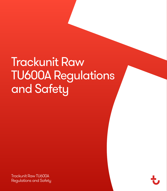# Trackunit Raw TU600A Regulations and Safety

Trackunit Raw TU600A Regulations and Safety

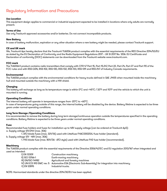# Regulatory Information and Precautions

# **Use Location**

This equipment design applies to commercial or industrial equipment expected to be installed in locations where only adults are normally present.

#### **Terms of Use**

Use only Trackunit approved accessories and/or batteries. Do not connect incompatible products.

#### **New Battery**

In case of battery malfunction, expiration or any other situation where a new battery might be needed, please contact Trackunit support.

## **CE and UK mark**

We, Trackunit Aps hereby declare that the Trackunit TU600A product complies with the essential requirements of the RED Directive 2014/53/EU as stated by the EU Declaration of Conformity and the Radio Equipment Regulations 2017 – UK SI 2017 No. 1206. EU Certificate and Declaration of conformity (DOC) statements can be downloaded from the Trackunit website www.trackunit.com.

# **FCC mark**

The TU600A-X product contains radio transmitters that comply with CFR 47 Part 15, Part 15.247, Part 22, Part 24, Part 27 and Part 90 of the FCC rules and with RSS-GEN, RSS-102, RSS-130, RSS-132, RSS-133, RSS-139 and RSS-247 of Industry Canada requirements.

### **Environmental**

The TU600A product complies with the environmental conditions for heavy trucks defined in SAE J1455 when mounted inside the machinery hull and mounted outside the machinery with a HW shield.

#### **Charging**

The battery will recharge as long as its temperature range is within 0°C and +45°C / 32°F and 113°F and the vehicle to which the unit is mounted is running.

#### **Operating Conditions**

The internal battery will operate in temperature ranges from -20°C to +60°C.

In case of temperatures going outside of this range, the internal battery will be disabled by the device. Battery lifetime is expected to be three years under normal operating conditions.

# **Long Term Storage /Operating Conditions**

It is recommended to remove the battery during long term storage/continuous operation outside the temperatures specified in the operating conditions. Battery lifetime is expected to be three years under normal operating conditions.

#### **Fuse**

Recommended fuse holders and fuses for installation up to 48V supply voltage (can be ordered at Trackunit ApS): a. Supply voltage 12V/24V (max. 30A)

1. ATO blade fuses (max. 32V/1A) used with Littelfuse FHAC0002SXJ fuse holder (standard).

b. Supply voltage 12V - 48V (max. 30A)

1. FKS blade fuse (max. 80V/3A - ATO style) used with Littelfuse FH2 fuse holder (recommended).

#### **Machinery**

The TU600A product complies with the essential requirements of the Directive 2006/42/EC and EU regulation 2013/167 when integrated and used as intended:

| Construction machinery                                                                             |
|----------------------------------------------------------------------------------------------------|
| Earth-moving machinery                                                                             |
| Agricultural and forestru machines                                                                 |
| IV) UN ECE R10 EMC rev. 5 Automotive ESA (Electronic Sub-Assembly) for integration into machinery. |
| Industrial trucks.                                                                                 |
|                                                                                                    |

NOTE: Harmonized standards under the directive 2014/30/EU has been applied.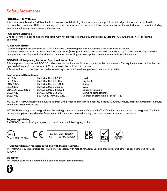# Safety Statements

#### **FCC/IC part 15.19 Notice**

This device complies with Part 15 of the FCC Rules and with Industry Canada license-exempt RSS standard(s). Operation issubject to the following two conditions: (1) this device may not cause harmful interference, and (2) this device must accept any interference received, including interference that may cause undesired operation.

# **FCC part 15.21 Notice**

Changes or modifications made to this equipment not expressly approved by Trackunit may void the FCC authorization to operate this equipment.

# **IC RSS-GEN Notice**

Le présent appareil est conforme aux CNR d'Industrie Canada applicables aux appareils radio exempts de licence. L'exploitation est autorisée aux deux conditions suivantes: (1) l'appareil ne doit pas produire de brouillage, et (2) l'utilisateur de l'appareil doit accepter tout brouillage radioélectrique subi, même si le brouillage est susceptible d'en compromettre le fonctionnement.

#### **FCC/IC Radiofrequency Radiation Exposure Information**

This equipment complies with FCC /IC radiation exposure limits set forth for an uncontrolled environment. This equipment may be installed and operated with a minimum distance of 20 cm between the radiator and the user.

This transmitter must not be co-located or operating in conjunction with any other antenna or transmitter.

#### **Environmental Compliance**

| EN/IEC 60068-2-1:2007     | Cold                                   |
|---------------------------|----------------------------------------|
| EN/IEC 60068-2-2:2007     | Dry heat                               |
| EN/IEC 60068-2-27:2008    | Shock                                  |
| EN/IEC 60068-2-31:2008    | Drop                                   |
| EN/IEC 60068-2-64:2008    | Random vibration                       |
| EN/IEC 60068-2-78:2001    | Damp heat steady state                 |
| [IEC 60529+A1+A2]CSV:2013 | Degrees of protection (IP code) : IP67 |
|                           |                                        |

NOTE A: The TU600A is not to be mounted in areas with presence of motor oil, gasoline, diesel fuel, hydraulic fluid, brake fluid, transmission fluid, glycol and water mixture, etc.

NOTE B: The housing is not designed to withstand high pressure cleaning. Only use the TU600A when mounted inside the designated Trackunit protection cap (can be ordered at Trackunit ApS) in mounting areas where high pressure cleaning is common procedure.

#### **Regulatory Labeling**

The TU600A product family is regulatory compliant to the following regulations:



#### **PTCRB Certification for Interoperability with Mobile Networks**

The TU600A product is certified for PTCRB interoperability with mobile networks. Specific Trackunit certificate has been obtained for model TU600-15.

#### **Bluetooth**

The TU600A supports Bluetooth 5.1 BLE and long range location finding.